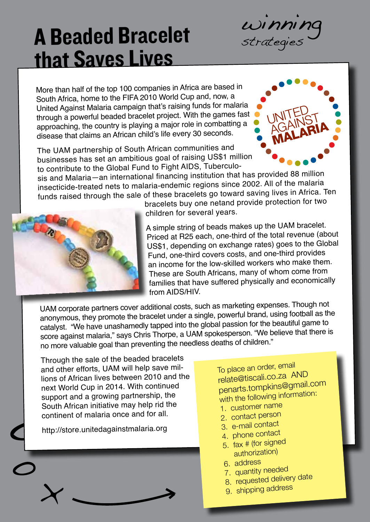

#### A Beaded Bracelet that Saves Lives

More than half of the top 100 companies in Africa are based in South Africa, home to the FIFA 2010 World Cup and, now, a United Against Malaria campaign that's raising funds for malaria through a powerful beaded bracelet project. With the games fast approaching, the country is playing a major role in combatting a disease that claims an African child's life every 30 seconds.

The UAM partnership of South African communities and businesses has set an ambitious goal of raising US\$1 million to contribute to the Global Fund to Fight AIDS, Tuberculo-



sis and Malaria—an international financing institution that has provided 88 million insecticide-treated nets to malaria-endemic regions since 2002. All of the malaria funds raised through the sale of these bracelets go toward saving lives in Africa. Ten



bracelets buy one netand provide protection for two children for several years.

A simple string of beads makes up the UAM bracelet. Priced at R25 each, one-third of the total revenue (about US\$1, depending on exchange rates) goes to the Global Fund, one-third covers costs, and one-third provides an income for the low-skilled workers who make them. These are South Africans, many of whom come from families that have suffered physically and economically from AIDS/HIV.

UAM corporate partners cover additional costs, such as marketing expenses. Though not anonymous, they promote the bracelet under a single, powerful brand, using football as the catalyst. "We have unashamedly tapped into the global passion for the beautiful game to score against malaria," says Chris Thorpe, a UAM spokesperson. "We believe that there is no more valuable goal than preventing the needless deaths of children."

Through the sale of the beaded bracelets and other efforts, UAM will help save millions of African lives between 2010 and the next World Cup in 2014. With continued support and a growing partnership, the South African initiative may help rid the continent of malaria once and for all.

http://store.unitedagainstmalaria.org



To place an order, email relate@tiscali.co.za AND penarts.tompkins@gmail.com with the following information:

- 1. customer name
- 2. contact person
- 3. e-mail contact
- 4. phone contact
- 5. fax # (for signe<sup>d</sup> authorization)
- 6. address
- 7. quantity needed
- 8. requested delivery date
- 9. shipping address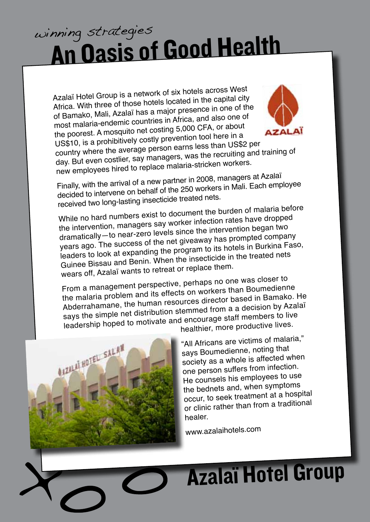#### An Oasis of Good Health winning strategies

Azalaï Hotel Group is a network of six hotels across West Africa. With three of those hotels located in the capital city of Bamako, Mali, Azalaï has a major presence in one of the most malaria-endemic countries in Africa, and also one o<sup>f</sup> the poorest. A mosquito net costing 5,000 CFA, or about US\$10, is a prohibitively costly prevention tool here in a country where the average person earns less than US\$2 per day. But even costlier, say managers, was the recruiting and training o<sup>f</sup>



new employees hired to replace malaria-stricken workers. Finally, with the arrival of a new partner in 2008, managers at Azalaï decided to intervene on behalf of the 250 workers in Mali. Each employee received two long-lasting insecticide treated nets.

While no hard numbers exist to document the burden of malaria before the intervention, managers say worker infection rates have droppe<sup>d</sup> dramatically—to near-zero levels since the intervention began two years ago. The success of the net giveaway has prompted company leaders to look at expanding the program to its hotels in Burkina Faso, Guinee Bissau and Benin. When the insecticide in the treated nets wears off, Azalaï wants to retreat or replace them.

From a management perspective, perhaps no one was closer to the malaria problem and its effects on workers than Boumedienne Abderrahamane, the human resources director based in Bamako. He says the simple net distribution stemmed from a a decision by Azalaï leadership hoped to motivate and encourage staff members to live healthier, more productive lives.



"All Africans are victims of malaria," says Boumedienne, noting that society as a whole is affected when one person suffers from infection. He counsels his employees to use the bednets and, when symptoms occur, to seek treatment at a hospital or clinic rather than from a traditional healer.

www.azalaihotels.com

## Azalaï Hotel Group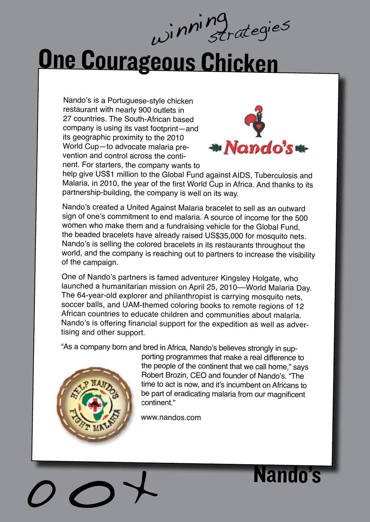# One Courageous Chicken

Nando's is a Portuguese-style chicken restaurant with nearly 900 outlets in 27 countries. The South-African based company is using its vast footprint—and its geographic proximity to the 2010 World Cup—to advocate malaria prevention and control across the continent. For starters, the company wants to



help give US\$1 million to the Global Fund against AIDS, Tuberculosis and Malaria, in 2010, the year of the first World Cup in Africa. And thanks to its partnership-building, the company is well on its way.

Nando's created a United Against Malaria bracelet to sell as an outward sign of one's commitment to end malaria. A source of income for the 500 women who make them and a fundraising vehicle for the Global Fund, the beaded bracelets have already raised US\$35,000 for mosquito nets. Nando's is selling the colored bracelets in its restaurants throughout the world, and the company is reaching out to partners to increase the visibility of the campaign.

One of Nando's partners is famed adventurer Kingsley Holgate, who launched a humanitarian mission on April 25, 2010––World Malaria Day. The 64-year-old explorer and philanthropist is carrying mosquito nets, soccer balls, and UAM-themed coloring books to remote regions of 12 African countries to educate children and communities about malaria. Nando's is offering financial support for the expedition as well as advertising and other support.

"As a company born and bred in Africa, Nando's believes strongly in sup-



porting programmes that make a real difference to the people of the continent that we call home," says Robert Brozin, CEO and founder of Nando's. "The time to act is now, and it's incumbent on Africans to be part of eradicating malaria from our magnificent continent."

www.nandos.com

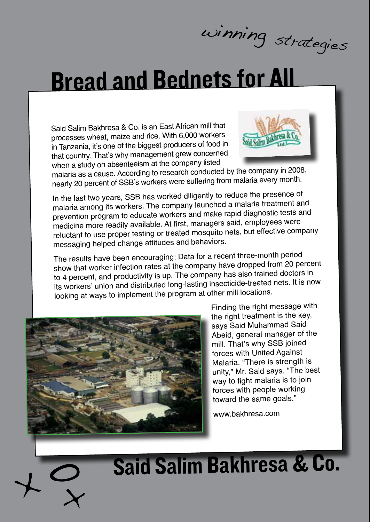winning strategies

### Bread and Bednets for All

Said Salim Bakhresa & Co. is an East African mill that processes wheat, maize and rice. With 6,000 workers in Tanzania, it's one of the biggest producers of food in that country. That's why management grew concerne<sup>d</sup> when a study on absenteeism at the company listed



malaria as a cause. According to research conducted by the company in 2008, nearly 20 percent of SSB's workers were suffering from malaria every month.

In the last two years, SSB has worked diligently to reduce the presence of malaria among its workers. The company launched a malaria treatment and prevention program to educate workers and make rapid diagnostic tests and medicine more readily available. At first, managers said, employees were reluctant to use proper testing or treated mosquito nets, but effective company messaging helped change attitudes and behaviors.

The results have been encouraging: Data for a recent three-month period show that worker infection rates at the company have dropped from 20 percent to 4 percent, and productivity is up. The company has also trained doctors in its workers' union and distributed long-lasting insecticide-treated nets. It is now looking at ways to implement the program at other mill locations.



Finding the right message with the right treatment is the key, says Said Muhammad Said Abeid, general manager of the mill. That's why SSB joined forces with United Against Malaria. "There is strength is unity," Mr. Said says. "The best way to fight malaria is to join forces with people working toward the same goals."

www.bakhresa.com

## Said Salim Bakhresa & Co.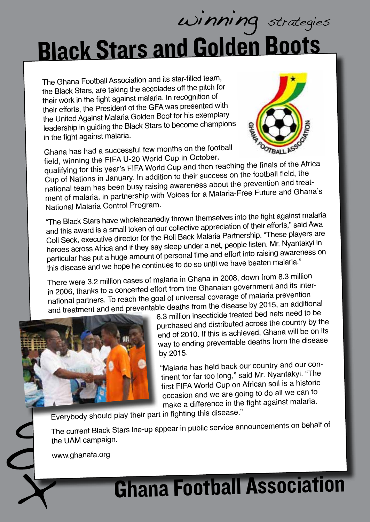## Black Stars and Golden Boots winning strategies

The Ghana Football Association and its star-filled team, the Black Stars, are taking the accolades off the pitch for their work in the fight against malaria. In recognition of their efforts, the President of the GFA was presented with the United Against Malaria Golden Boot for his exemplary leadership in guiding the Black Stars to become champions in the fight against malaria.

Ghana has had a successful few months on the football field, winning the FIFA U-20 World Cup in October,



qualifying for this year's FIFA World Cup and then reaching the finals of the Africa Cup of Nations in January. In addition to their success on the football field, the national team has been busy raising awareness about the prevention and treatment of malaria, in partnership with Voices for a Malaria-Free Future and Ghana's National Malaria Control Program.

"The Black Stars have wholeheartedly thrown themselves into the fight against malaria and this award is a small token of our collective appreciation of their efforts," said Awa Coll Seck, executive director for the Roll Back Malaria Partnership. "These players are heroes across Africa and if they say sleep under a net, people listen. Mr. Nyantakyi in particular has put a huge amount of personal time and effort into raising awareness on this disease and we hope he continues to do so until we have beaten malaria."

There were 3.2 million cases of malaria in Ghana in 2008, down from 8.3 million in 2006, thanks to a concerted effort from the Ghanaian government and its international partners. To reach the goal of universal coverage of malaria prevention and treatment and end preventable deaths from the disease by 2015, an additional



6.3 million insecticide treated bed nets need to be purchased and distributed across the country by the end of 2010. If this is achieved, Ghana will be on its way to ending preventable deaths from the disease by 2015.

"Malaria has held back our country and our continent for far too long," said Mr. Nyantakyi. "The first FIFA World Cup on African soil is a historic occasion and we are going to do all we can to make a difference in the fight against malaria.

Everybody should play their part in fighting this disease."

The current Black Stars lne-up appear in public service announcements on behalf of the UAM campaign.

www.ghanafa.org

## Ghana Football Association